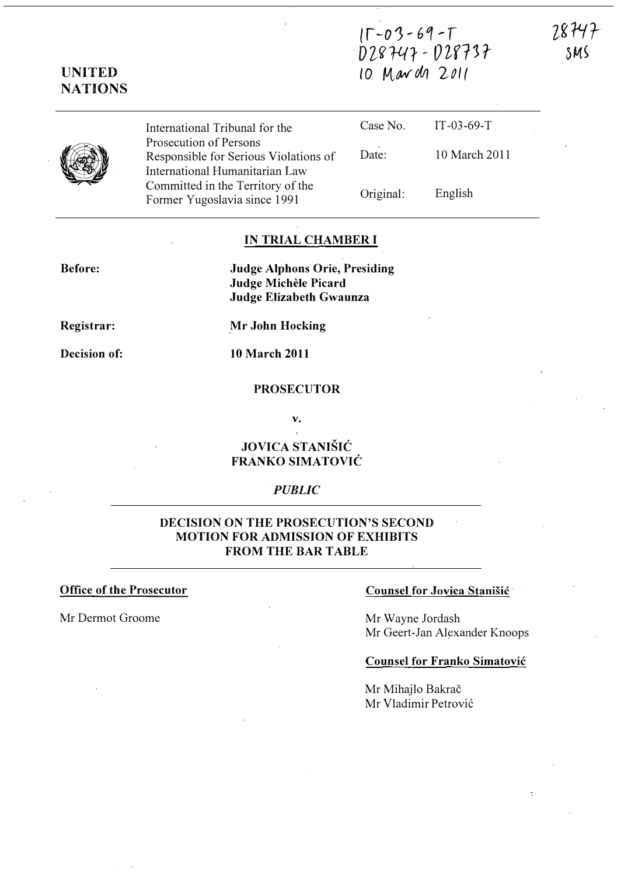# $15 - 03 - 69 - T$  $028747 - 028737$ 10 March 2011

28747 SMS



UNITED **NATIONS** 

> International Tribunal for the Prosecution of Persons Responsible for Serious Violations of International Humanitarian Law Committed in the Territory of the Former Yugoslavia since 1991

Case No. Date: Original: IT-03-69-T 10 March 2011 English

# IN TRIAL CHAMBER I

Before:

Judge Alphons Orie, Presiding Judge Michèle Picard Judge Elizabeth Gwaunza

Registrar:

Decision of:

10 March 2011

.Mr John Hocking

## PROSECUTOR

v.

# JOVICA STANIŠIĆ FRANKO SIMATOVIC

### **PUBLIC**

# DECISION ON THE PROSECUTION'S SECOND MOTION FOR ADMISSION OF EXHIBITS FROM THE BAR TABLE

Mr Dermot Groome Mr Wayne Jordash

#### Office of the Prosecutor Counsel for Jovica Stanisic

Mr Geert-Jan Alexander Knoops

#### Counsel for Franko Simatovic

Mr Mihajlo Bakrač Mr Vladimir Petrović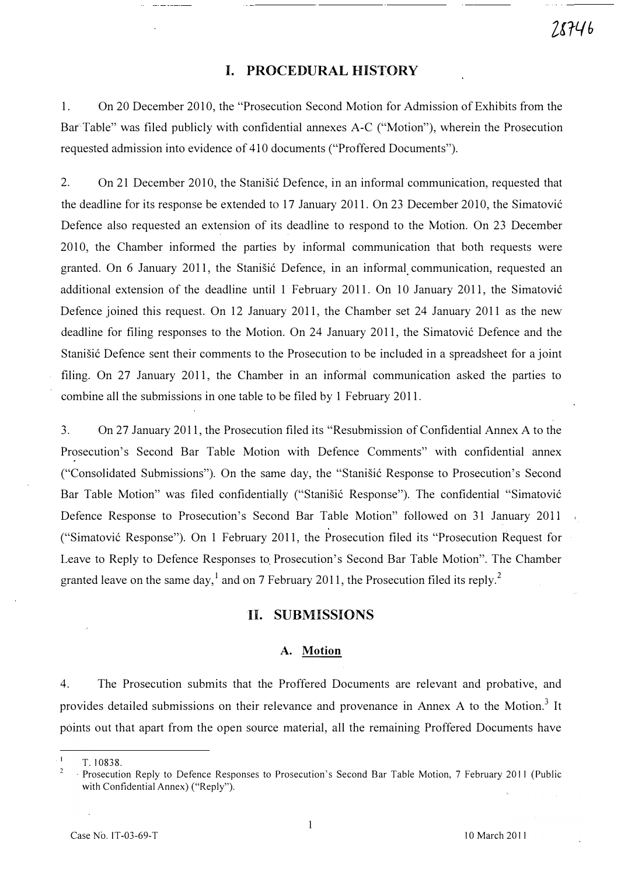# I. PROCEDURAL HISTORY

1. On 20 December 2010, the "Prosecution Second Motion for Admission of Exhibits from the Bar Table" was filed publicly with confidential annexes A-C ("Motion"), wherein the Prosecution requested admission into evidence of 410 documents ("Proffered Documents").

2. On 21 December 2010, the Stanišić Defence, in an informal communication, requested that the deadline for its response be extended to 17 January 2011. On 23 December 2010, the Simatovi6 Defence also requested an extension of its deadline to respond to the Motion. On 23 December 2010, the Chamber informed the parties by informal communication that both requests were granted. On 6 January 2011, the Stanišić Defence, in an informal communication, requested an additional extension of the deadline until 1 February 2011. On 10 January 2011, the Simatović Defence joined this request. On 12 January 2011, the Chamber set 24 January 2011 as the new deadline for filing responses to the Motion. On 24 January 2011, the Simatović Defence and the Stanišić Defence sent their comments to the Prosecution to be included in a spreadsheet for a joint filing. On 27 January 2011, the Chamber in an informal communication asked the parties to combine all the submissions in one table to be filed by 1 February 2011.

3. On 27 January 2011, the Prosecution filed its "Resubmission of Confidential Annex A to the Prosecution's Second Bar Table Motion with Defence Comments" with confidential annex ("Consolidated Submissions"). On the same day, the "Stanišić Response to Prosecution's Second Bar Table Motion" was filed confidentially ("Stanišić Response"). The confidential "Simatović Defence Response to Prosecution's Second Bar Table Motion" followed on 31 January 2011 ("Simatovi6 Response"). On 1 February 2011, the Prosecution filed its "Prosecution Request for Leave to Reply to Defence Responses to Prosecution's Second Bar Table Motion". The Chamber granted leave on the same day,<sup>1</sup> and on 7 February 2011, the Prosecution filed its reply.<sup>2</sup>

### 11. SUBMISSIONS

#### A. Motion

4. The Prosecution submits that the Proffered Documents are relevant and probative, and provides detailed submissions on their relevance and provenance in Annex A to the Motion.<sup>3</sup> It points out that apart from the open source material, all the remaining Proffered Documents have

 $\mathbf{1}$ T. 10838.

<sup>2</sup>  , Prosecution Reply to Defence Responses to Prosecution's Second Bar Table Motion, 7 February 2011 (Public with Confidential Annex) ("Reply").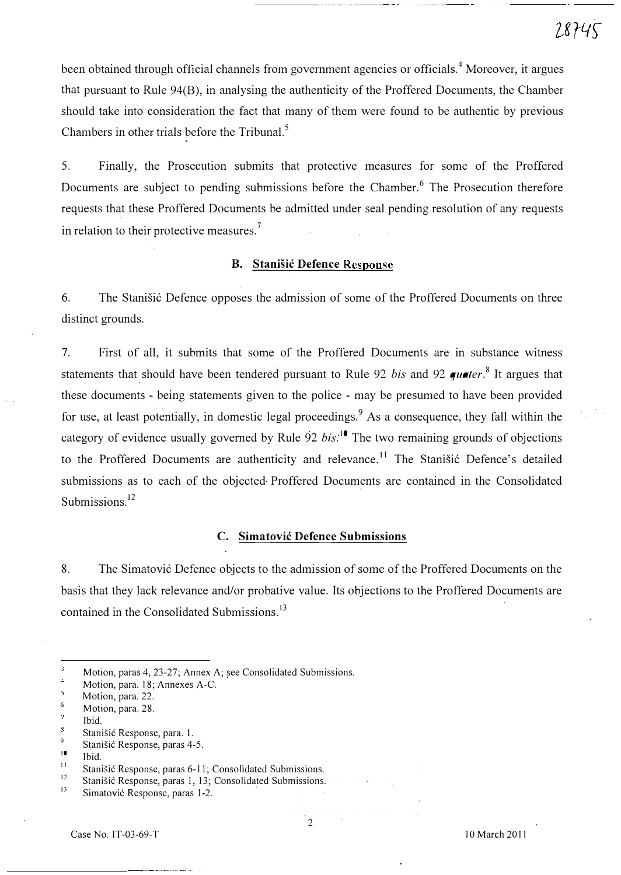been obtained through official channels from government agencies or officials.<sup>4</sup> Moreover, it argues that pursuant to Rule 94(B), in analysing the authenticity of the Proffered Documents, the Chamber should take into consideration the fact that many of them were found to be authentic by previous Chambers in other trials before the Tribunal.<sup>5</sup>

5. Finally, the Prosecution submits that protective measures for some of the Proffered Documents are subject to pending submissions before the Chamber.<sup>6</sup> The Prosecution therefore requests that these Proffered Documents be admitted under seal pending resolution of any requests in relation to their protective measures.<sup>7</sup>

# B. Stanisic Defence Response

6. The Stanisic Defence opposes the admission of some of the Proffered Documents on three distinct grounds.

7. First of all, it submits that some of the Proffered· Documents are in substance witness statements that should have been tendered pursuant to Rule 92 bis and 92 quater.<sup>8</sup> It argues that these documents - being statements given to the police - may be presumed to have been provided for use, at least potentially, in domestic legal proceedings.  $9$  As a consequence, they fall within the category of evidence usually governed by Rule 92 *bis*:<sup>10</sup> The two remaining grounds of objections to the Proffered Documents are authenticity and relevance.<sup>11</sup> The Stanišić Defence's detailed submissions as to each of the objected Proffered Documents are contained in the Consolidated Submissions.<sup>12</sup>

# C. Simatovic Defence Submissions

8. The Simatović Defence objects to the admission of some of the Proffered Documents on the basis that they lack relevance and/or probative value. Its objections to the Proffered Documents are contained in the Consolidated Submissions.<sup>15</sup>

 $\overline{3}$ Motion, paras 4, 23-27; Annex A; see Consolidated Submissions.

Ŀ, Motion, para. 18; Annexes A-C.  $\mathbf{5}$ 

Motion, para. 22.

<sup>6</sup>  Motion, para. 28. ÿ.

Ibid.

 $\bar{s}$ Stanišić Response, para. 1. 9

Stanišić Response, paras 4-5.

<sup>10</sup>  11 Ibid.

Stanišić Response, paras 6-11; Consolidated Submissions.

<sup>12</sup>  Stanišić Response, paras 1, 13; Consolidated Submissions.

<sup>!3</sup>  Simatovi6 Response, paras 1-2.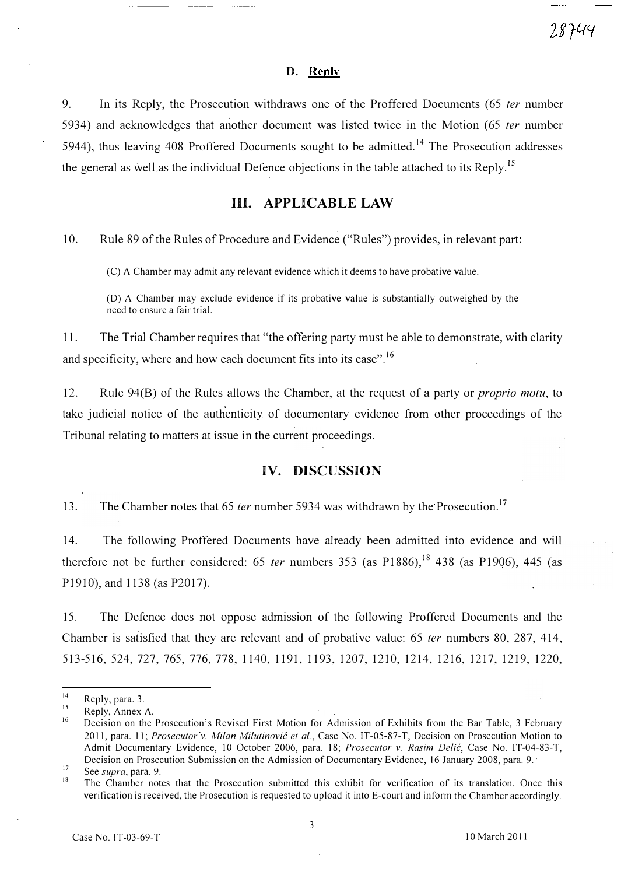#### D. Reply

9. In its Reply, the Prosecution withdraws one of the Proffered Documents (65 ter number 5934) and acknowledges that another document was listed twice in the Motion (65 ter number 5944), thus leaving 408 Proffered Documents sought to be admitted.<sup>14</sup> The Prosecution addresses the general as well as the individual Defence objections in the table attached to its Reply.<sup>15</sup>

# HI. APPLICABLE LAW

10. Rule 89 of the Rules of Procedure and Evidence ("Rules") provides, in relevant part:

CC) A Chamber may admit any relevant evidence which it deems to have probative value.

(D) A Chamber may exclude evidence if its probative value is substantially outweighed by the need to ensure a fair trial.

11. The Trial Chamber requires that "the offering party must be able to demonstrate, with clarity and specificity, where and how each document fits into its case".<sup>16</sup>

12. Rule 94(B) of the Rules allows the Chamber, at the request of a party or *proprio motu*, to take judicial notice of the authenticity of documentary evidence from other proceedings of the Tribunal relating to matters at issue in the current proceedings.

# IV. DISCUSSION

13. The Chamber notes that 65 *ter* number 5934 was withdrawn by the Prosecution.<sup>17</sup>

14. The following Proffered Documents have already been admitted into evidence and will therefore not be further considered: 65 ter numbers 353 (as P1886),<sup>18</sup> 438 (as P1906), 445 (as P1910), and 1138 (as P2017).

15. The Defence does not oppose admission of the following Proffered Documents and the Chamber is satisfied that they are relevant and of probative value: 65 ter numbers 80, 287, 414, 513-516, 524, 727, 765, 776, 778, 1140, 1191, 1193, 1207, 1210, 1214, 1216, 1217, 1219, 1220,

28744

<sup>14</sup>  Reply, para. 3.

<sup>15</sup>  Reply, Annex A.

<sup>16</sup>  17 Decision on the Prosecution's Revised First Motion for Admission of Exhibits from the Bar Table, 3 February 2011, para. 11; Prosecutor v. Milan Milutinović et al., Case No. IT-05-87-T, Decision on Prosecution Motion to Admit Documentary Evidence, 10 October 2006, para. 18; Prosecutor v. Rasim Delić, Case No. IT-04-83-T, Decision on Prosecution Submission on the Admission of Documentary Evidence, 16 January 2008, para. 9.

See supra, para. 9.

<sup>18</sup>  The Chamber notes that the Prosecution submitted this exhibit for verification of its translation. Once this verification is received, the Prosecution is requested to upload it into E-court and inform the Chamber accordingly.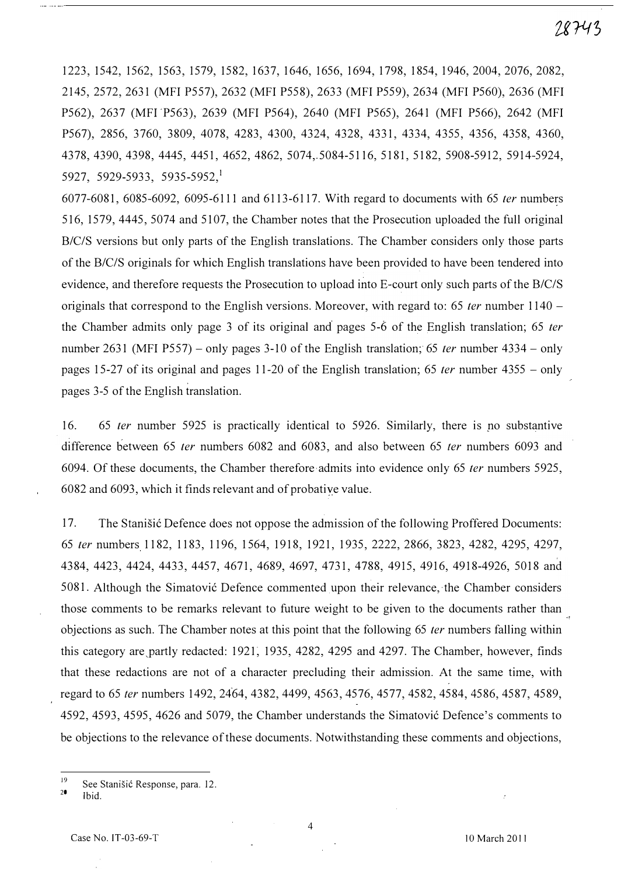# 28743

1223, 1542, 1562, 1563, 1579, 1582, 1637, 1646, 1656, 1694, 1798, 1854, 1946,2004,2076,2082, 2145, 2572, 2631 (MFI P557), 2632 (MFI P558), 2633 (MFI P559), 2634 (MFI P560), 2636 (MFI P562), 2637 (MFI P563), 2639 (MFI P564), 2640 (MFI P565), 2641 (MFI P566), 2642 (MFI P567), 2856, 3760, 3809, 4078, 4283, 4300, 4324, 4328, 4331, 4334, 4355, 4356, 4358, 4360, 4378,4390,4398, 4445, 4451, 4652, 4862, 5074,.5084-5116, 5181, 5182, 5908-5912, 5914-5924,  $5927, 5929-5933, 5935-5952, 1$ 

6077-6081, 6085-6092, 6095-6111 and 6113-6117. With regard to documents with 65 fer numbers 516, 1579,4445,5074 and 5107, the Chamber notes that the Prosecution uploaded the full original B/C/S versions but only parts of the English translations. The Chamber considers only those parts of the B/C/S originals for which English translations have been provided to have been tendered into evidence, and therefore requests the Prosecution to upload into E-court only such parts of the B/C/S originals that correspond to the English versions. Moreover, with regard to: 65 *ter* number  $1140$ the Chamber admits only page 3 of its original and pages  $5-\dot{6}$  of the English translation; 65 *ter* number 2631 (MFI P557) – only pages 3-10 of the English translation; 65 *ter* number 4334 – only pages 15-27 of its original and pages 11-20 of the English translation; 65 *ter* number  $4355 - only$ pages 3-5 of the English translation.

16. 65 fer number 5925 is practically identical to 5926. Similarly, there is no substantive difference between 65 fer numbers 6082 and 6083, and also between 65 ter numbers 6093 and 6094. Of these documents, the Chamber therefore-admits into evidence only 65 fer numbers 5925, 6082 and 6093, which it finds relevant and of probatiye value.

17. The Stanisic Defence does not oppose the admission of the following Proffered Documents: 65 fer numbers 1182,1183,1196,1564,1918,1921,1935,2222,2866,3823, 4282, 4295, 4297, 4384,4423,4424,4433,4457,4671,4689,4697,4731, 4788, 4915, 4916, 4918-4926, 5018 and 5081. Although the Simatović Defence commented upon their relevance, the Chamber considers those comments to be remarks relevant to future weight to be given to the documents rather than objections as such. The Chamber notes at this point that the following 65 *ter* numbers falling within this category are partly redacted: 1921, 1935, 4282, 4295 and 4297. The Chamber, however, finds that these redactions are not of a character precluding their admission. At the same time, with regard to 65 ter numbers 1492, 2464, 4382, 4499, 4563, 4576, 4577, 4582, 4584, 4586, 4587, 4589, 4592, 4593, 4595, 4626 and 5079, the Chamber understands the Simatović Defence's comments to be objections to the relevance of these documents. Notwithstanding these comments and objections,

<sup>19</sup>  See Stanisic Response, para. 12.

<sup>20</sup>  Ibid.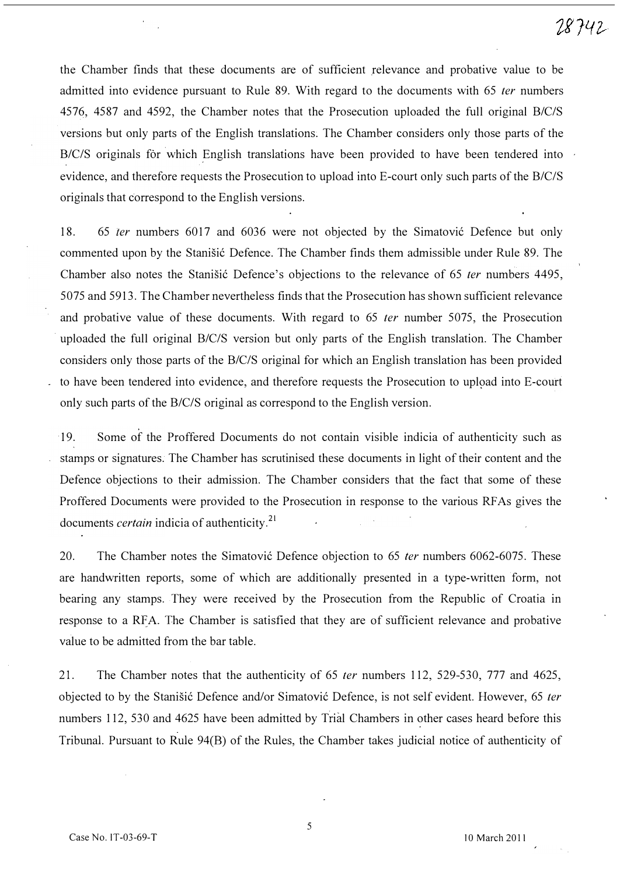the Chamber finds that these documents are of sufficient relevance and probative value to be admitted into evidence pursuant to Rule 89. With regard to the documents with 65 *ter* numbers 4576, 4587 and 4592, the Chamber notes that the Prosecution uploaded the full original B/C/S versions but only parts of the English translations. The Chamber considers only those parts of the B/C/S originals for which English translations have been provided to have been tendered into evidence, and therefore requests the Prosecution to upload into E-court only such parts of the B/C/S originals that correspond to the English versions.

18. 65 ter numbers 6017 and 6036 were not objected by the Simatović Defence but only commented upon by the Stanisić Defence. The Chamber finds them admissible under Rule 89. The Chamber also notes the Stanisić Defence's objections to the relevance of 65 ter numbers 4495, 5075 and 5913. The Chamber nevertheless finds that the Prosecution has shown sufficient relevance and probative value of these documents. With regard to 65 *ter* number 5075, the Prosecution . uploaded the full original B/C/S version but only parts of the English translation. The Chamber considers only those parts of the B/C/S original for which an English translation has been provided to have been tendered into evidence, and therefore requests the Prosecution to upload into E-court only such parts of the B/C/S original as correspond to the English version.

19. Some of the Proffered Documents do not contain visible indicia of authenticity such as stamps or signatures. The Chamber has scrutinised these documents in light of their content and the Defence objections to their admission. The Chamber considers that the fact that some of these Proffered Documents were provided to the Prosecution in response to the various RF As gives the documents *certain* indicia of authenticity.<sup>21</sup>

20. The Chamber notes the Simatović Defence objection to 65 ter numbers 6062-6075. These are handwritten reports, some of which are additionally presented in a type-written form, not bearing any stamps. They were received by the Prosecution from the Republic of Croatia in response to a RFA. The Chamber is satisfied that they are of sufficient relevance and probative value to be admitted from the bar table.

21. The Chamber notes that the authenticity of 65 fer numbers 112, 529-530, 777 and 4625, objected to by the Stanišić Defence and/or Simatović Defence, is not self evident. However, 65 ter numbers 112, 530 and 4625 have been admitted by Trial Chambers in other cases heard before this Tribunal. Pursuant to Rule 94(B) of the Rules, the Chamber takes judicial notice of authenticity of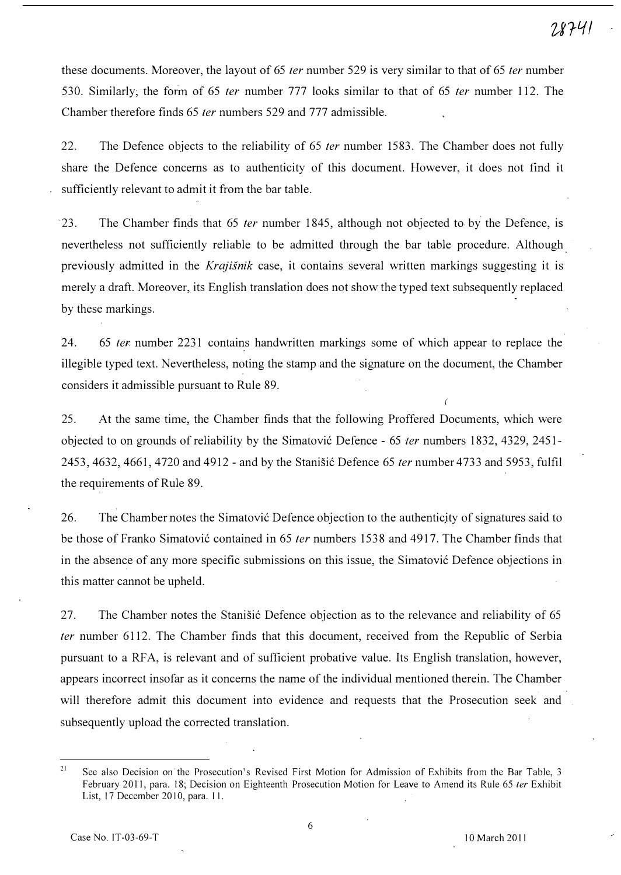these documents. Moreover, the layout of 65 *ter* number 529 is very similar to that of 65 *ter* number 530. Similarly, the form of 65 ter number 777 looks similar to that of 65 ter number 112. The Chamber therefore finds 65 *ter* numbers 529 and 777 admissible.

22. The Defence objects to the reliability of 65 *ter* number 1583. The Chamber does not fully share the Defence concerns as to authenticity of this document. However, it does not find it sufficiently relevant to admit it from the bar table.

'23. The Chamber finds that 65 fer number 1845, although not objected to by the Defence, is nevertheless not sufficiently reliable to be admitted through the bar table procedure. Although previously admitted in the Krajisnik case, it contains several written markings suggesting it is merely a draft. Moreover, its English translation does not show the typed text subsequently replaced by these markings.

24. 65 tex number 2231 contains handwritten markings some of which appear to replace the illegible typed text. Nevertheless, noting the stamp and the signature on the document, the Chamber considers it admissible pursuant to Rule 89.

25. At the same time, the Chamber finds that the following Proffered Documents, which were objected to on grounds of reliability by the Simatović Defence - 65 *ter* numbers 1832, 4329, 2451-2453, 4632, 4661, 4720 and 4912 - and by the Stanišić Defence 65 *ter* number 4733 and 5953, fulfil the requirements of Rule 89.

26. The Chamber notes the Simatović Defence objection to the authenticity of signatures said to be those of Franko Simatović contained in 65 *ter* numbers 1538 and 4917. The Chamber finds that in the absence of any more specific submissions on this issue, the Simatovic Defence objections in this matter cannot be upheld.

27. The Chamber notes the Stanisic Defence objection as to the relevance and reliability of 65 fer number 6112. The Chamber finds that this document, received from the Republic of Serbia pursuant to a RF A, is relevant and of sufficient probative value. Its English translation, however, appears incorrect insofar as it concerns the name of the individual mentioned therein. The Chamber will therefore admit this document into evidence and requests that the Prosecution seek and subsequently upload the corrected translation.

<sup>&</sup>lt;sup>21</sup> See also Decision on the Prosecution's Revised First Motion for Admission of Exhibits from the Bar Table, 3 February 2011, para. 18; Decision on Eighteenth Prosecution Motion for Leave to Amend its Rule 65 ter Exhibit List, 17 December 2010, para. 11.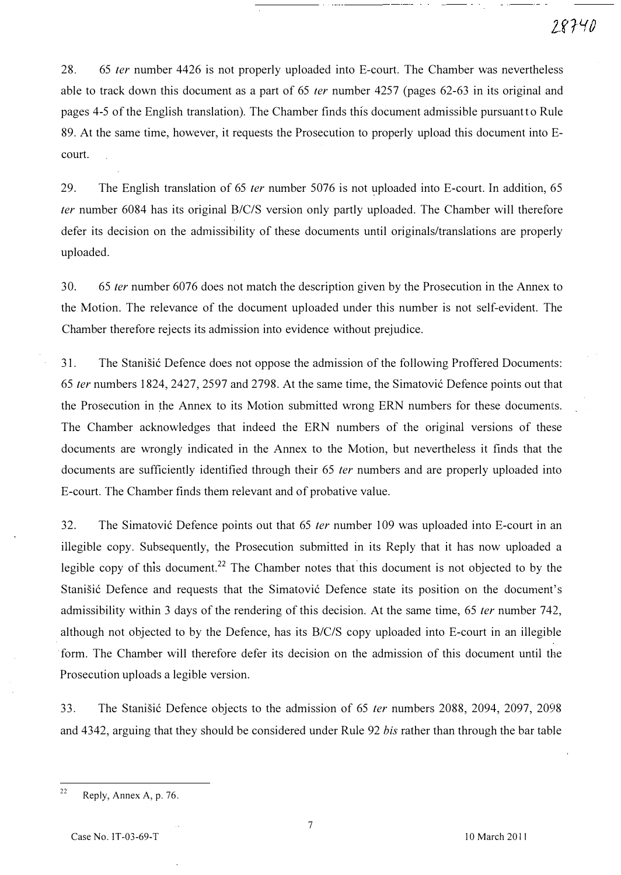28. 65 ter number 4426 is not properly uploaded into E-court. The Chamber was nevertheless able to track down this document as a part of 65 *ter* number 4257 (pages 62-63 in its original and pages 4-5 of the English translation). The Chamber finds this document admissible pursuantt o Rule 89. At the same time, however, it requests the Prosecution to properly upload this document into Ecourt.

29. The English translation of 65 ter number 5076 is not uploaded into E-court. In addition, 65 fer number 6084 has its original B/C/S version only partly uploaded. The Chamber will therefore defer its decision on the admissibility of these documents until originals/translations are properly uploaded.

30. 65 ter number 6076 does not match the description given by the Prosecution in the Annex to the Motion. The relevance of the document uploaded under this number is not self-evident. The Chamber therefore rejects its admission into evidence without prejudice.

31. The Stanisić Defence does not oppose the admission of the following Proffered Documents: 65 ter numbers 1824, 2427, 2597 and 2798. At the same time, the Simatović Defence points out that the Prosecution in the Annex to its Motion submitted wrong ERN numbers for these documents. The Chamber acknowledges that indeed the ERN numbers of the original versions of these documents are wrongly indicated in the Annex to the Motion, but nevertheless it finds that the documents are sufficiently identified through their 65 ter numbers and are properly uploaded into E-court. The Chamber finds them relevant and of probative value.

32. The Simatović Defence points out that 65 *ter* number 109 was uploaded into E-court in an illegible copy. Subsequently, the Prosecution submitted in its Reply that it has now uploaded a legible copy of this document.<sup>22</sup> The Chamber notes that this document is not objected to by the Stanišić Defence and requests that the Simatović Defence state its position on the document's admissibility within 3 days of the rendering of this decision. At the same time, 65 ter number 742, although not objected to by the Defence, has its B/C/S copy uploaded into E-court in an illegible form. The Chamber will therefore defer its decision on the admission of this document until the Prosecution uploads a legible version.

33. The Stanišić Defence objects to the admission of 65 *ter* numbers 2088, 2094, 2097, 2098 and 4342, arguing that they should be considered under Rule 92 bis rather than through the bar table

<sup>&</sup>lt;sup>22</sup> Reply, Annex A, p. 76.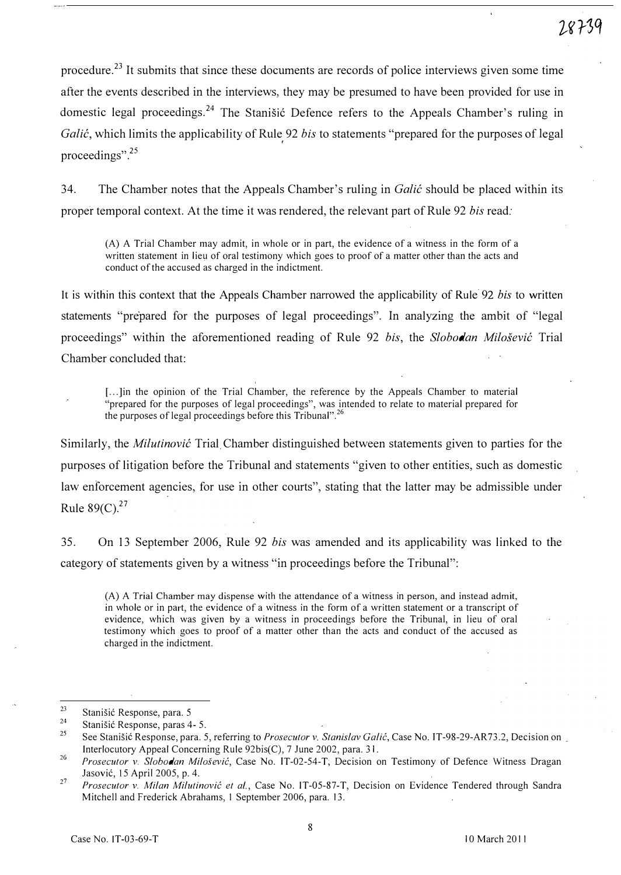procedure.23 It submits that since these documents are records of police interviews given some time after the events described in the interviews, they may be presumed to have been provided for use in domestic legal proceedings.<sup>24</sup> The Stanišić Defence refers to the Appeals Chamber's ruling in Galić, which limits the applicability of Rule 92 bis to statements "prepared for the purposes of legal ( proceedings".<sup>25</sup>

34. The Chamber notes that the Appeals Chamber's ruling in Galic should be placed within its proper temporal context. At the time it was rendered, the relevant part of Rule 92 bis read:

(A) A Trial Chamber may admit, in whole or in part, the evidence of a witness in the form of a written statement in lieu of oral testimony which goes to proof of a matter other than the acts and conduct of the accused as charged in the indictment.

It is within this context that the Appeals Chamber narrowed the applicability of Rule 92 bis to written statements "prepared for the purposes of legal proceedings". In analyzing the ambit of "legal proceedings" within the aforementioned reading of Rule 92 bis, the Slobodan Milošević Trial Chamber concluded that:

[...]in the opinion of the Trial Chamber, the reference by the Appeals Chamber to material "prepared for the purposes of legal proceedings", was intended to relate to material prepared for the purposes of legal proceedings before this Tribunal".<sup>26</sup>

Similarly, the *Milutinovic* Trial Chamber distinguished between statements given to parties for the purposes of litigation before the Tribunal and statements "given to other entities, such as domestic law enforcement agencies, for use in other courts", stating that the latter may be admissible under Rule  $89(C)^{27}$ 

35. On 13 September 2006, Rule 92 bis was amended and its applicability was linked to the category of statements given by a witness "in proceedings before the Tribunal":

(A) A Trial Chamber may dispense with the attendance of a witness in person, and instead admit, in whole or in part, the evidence of a witness in the form of a written statement or a transcript of evidence, which was given by a witness in proceedings before the Tribunal, in lieu of oral testimony which goes to proof of a matter other than the acts and conduct of the accused as charged in the indictment.

<sup>23</sup>  Stanišić Response, para. 5

<sup>24</sup>  Stanišić Response, paras 4- 5.

<sup>25</sup>  See Stanišić Response, para. 5, referring to *Prosecutor v. Stanislav Galić*, Case No. IT-98-29-AR73.2, Decision on Interlocutory Appeal Concerning Rule 92bis(C), 7 June 2002, para. 31.

<sup>26</sup>  Prosecutor v. Slobodan Milosevic, Case No. IT-02-S4-T; Decision on Testimony of Defence Witness Dragan Jasovi6, IS Apri1200S, p. 4.

<sup>27</sup>  Prosecutor v. Milan Milutinović et al., Case No. IT-05-87-T, Decision on Evidence Tendered through Sandra Mitchell and Frederick Abrahams, I September 2006, para. 13.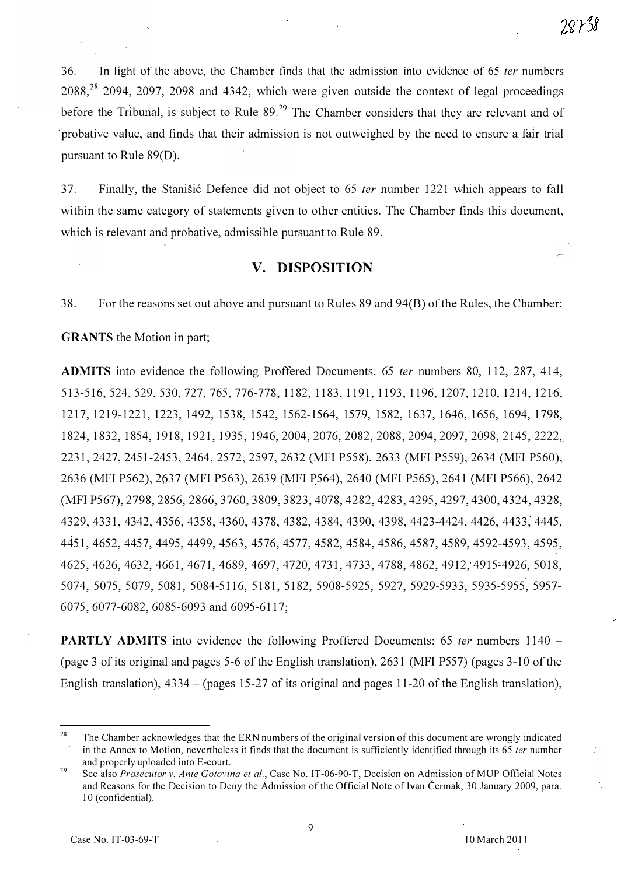36. In light of the above, the Chamber finds that the admission into evidence of 65 fer numbers  $2088<sup>28</sup>$  2094, 2097, 2098 and 4342, which were given outside the context of legal proceedings before the Tribunal, is subject to Rule  $89<sup>29</sup>$  The Chamber considers that they are relevant and of 'probative value, and finds that their admission is not outweighed by the need to ensure a fair trial pursuant to Rule 89(D).

37. Finally, the Stanisic Defence did not object to 65 *ter* number 1221 which appears to fall within the same category of statements given to other entities. The Chamber finds this document, which is relevant and probative, admissible pursuant to Rule 89.

# v. DISPOSITION

38. For the reasons set out above and pursuant to Rules 89 and 94(B) of the Rules, the Chamber:

### GRANTS the Motion in part;

ADMITS into evidence the following Proffered Documents: 65 fer numbers 80, 112, 287, 414, 513-516,524,529,530, 727, 765, 776-778, 1182, 1183, 1191, 1193, 1196, 1207, 1210, 1214, 1216, 1217, 1219-1221, 1223, 1492, 1538, 1542, 1562-1564, 1579, 1582, 1637, 1646, 1656, 1694, 1798, 1824,1832,1854,1918,1921,1935,1946,2004,2076, 2082, 2088, 2094, 2097,2098,2145,2222,\_ 2231,2427,2451-2453,2464,2572,2597,2632 (MFI P558), 2633 (MFI P559), 2634 (MFI P560), 2636 (MFI P562), 2637 (MFI P563), 2639 (MFI P564), 2640 (MFI P565), 2641 (MFI P566), 2642 (MFI P567), 2798, 2856, 2866, 3760, 3809, 3823, 4078, 4282, 4283, 4295, 4297, 4300, 4324, 4328, 4329,4331,4342,4356,4358, 4360,4378,4382,4384,4390, 4398,4423-4424,4426, 4433;4445, 4451,4652,4457,4495,4499,4563, 4576,4577,4582,4584,4586,4587,4589,4592-4593,4595, 4625,4626,4632,4661,4671, 4689,4697,4720,4731,4733, 4788, 4862,4912,4915;4926, 5018, 5074, 5075, 5079, 5081, 5084-5116, 5181,5182, 5908-5925, 5927, 5929-5933, 5935-5955, 5957- 6075,6077-6082,6085-6093 and 6095-6117;

**PARTLY ADMITS** into evidence the following Proffered Documents: 65 *ter* numbers  $1140 -$ (page 3 of its original and pages 5-6 of the English translation), 2631 (MFI P557) (pages 3-10 of the English translation), 4334 – (pages 15-27 of its original and pages 11-20 of the English translation),

<sup>28</sup>  The Chamber acknowledges that the ERN numbers of the original version of this document are wrongly indicated in the Annex to Motion, nevertheless it finds that the document is sufficiently identified through its  $65$  ter number and properly uploaded into E-court.

<sup>29</sup>  See also Prosecutor v. Ante Gotovina et al., Case No. IT-06-90-T, Decision on Admission of MUP Official Notes and Reasons for the Decision to Deny the Admission of the Official Note of Ivan Cermak, 30 January 2009, para. 10 (confidential).